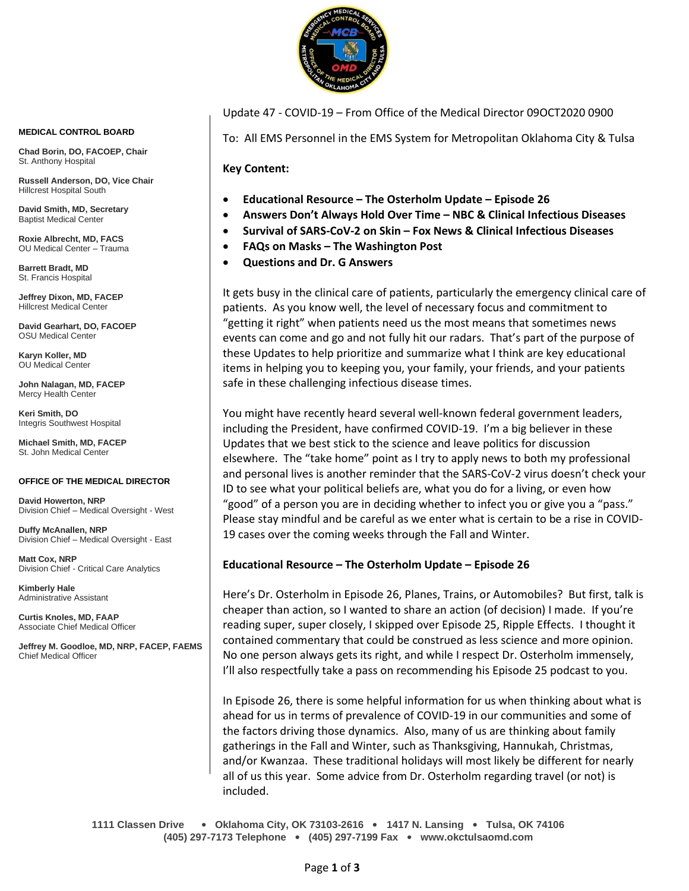

Update 47 - COVID-19 – From Office of the Medical Director 09OCT2020 0900

To: All EMS Personnel in the EMS System for Metropolitan Oklahoma City & Tulsa

**Key Content:**

- **Educational Resource – The Osterholm Update – Episode 26**
- **Answers Don't Always Hold Over Time – NBC & Clinical Infectious Diseases**
- **Survival of SARS-CoV-2 on Skin – Fox News & Clinical Infectious Diseases**
- **FAQs on Masks – The Washington Post**
- **Questions and Dr. G Answers**

It gets busy in the clinical care of patients, particularly the emergency clinical care of patients. As you know well, the level of necessary focus and commitment to "getting it right" when patients need us the most means that sometimes news events can come and go and not fully hit our radars. That's part of the purpose of these Updates to help prioritize and summarize what I think are key educational items in helping you to keeping you, your family, your friends, and your patients safe in these challenging infectious disease times.

You might have recently heard several well-known federal government leaders, including the President, have confirmed COVID-19. I'm a big believer in these Updates that we best stick to the science and leave politics for discussion elsewhere. The "take home" point as I try to apply news to both my professional and personal lives is another reminder that the SARS-CoV-2 virus doesn't check your ID to see what your political beliefs are, what you do for a living, or even how "good" of a person you are in deciding whether to infect you or give you a "pass." Please stay mindful and be careful as we enter what is certain to be a rise in COVID-19 cases over the coming weeks through the Fall and Winter.

## **Educational Resource – The Osterholm Update – Episode 26**

Here's Dr. Osterholm in Episode 26, Planes, Trains, or Automobiles? But first, talk is cheaper than action, so I wanted to share an action (of decision) I made. If you're reading super, super closely, I skipped over Episode 25, Ripple Effects. I thought it contained commentary that could be construed as less science and more opinion. No one person always gets its right, and while I respect Dr. Osterholm immensely, I'll also respectfully take a pass on recommending his Episode 25 podcast to you.

In Episode 26, there is some helpful information for us when thinking about what is ahead for us in terms of prevalence of COVID-19 in our communities and some of the factors driving those dynamics. Also, many of us are thinking about family gatherings in the Fall and Winter, such as Thanksgiving, Hannukah, Christmas, and/or Kwanzaa. These traditional holidays will most likely be different for nearly all of us this year. Some advice from Dr. Osterholm regarding travel (or not) is included.

**1111 Classen Drive** • **Oklahoma City, OK 73103-2616** • **1417 N. Lansing** • **Tulsa, OK 74106 (405) 297-7173 Telephone** • **(405) 297-7199 Fax** • **www.okctulsaomd.com**

#### **MEDICAL CONTROL BOARD**

**Chad Borin, DO, FACOEP, Chair**  St. Anthony Hospital

**Russell Anderson, DO, Vice Chair** Hillcrest Hospital South

**David Smith, MD, Secretary** Baptist Medical Center

**Roxie Albrecht, MD, FACS** OU Medical Center – Trauma

**Barrett Bradt, MD** St. Francis Hospital

**Jeffrey Dixon, MD, FACEP** Hillcrest Medical Center

**David Gearhart, DO, FACOEP** OSU Medical Center

**Karyn Koller, MD** OU Medical Center

**John Nalagan, MD, FACEP** Mercy Health Center

**Keri Smith, DO** Integris Southwest Hospital

**Michael Smith, MD, FACEP** St. John Medical Center

### **OFFICE OF THE MEDICAL DIRECTOR**

**David Howerton, NRP** Division Chief – Medical Oversight - West

**Duffy McAnallen, NRP** Division Chief – Medical Oversight - East

**Matt Cox, NRP** Division Chief - Critical Care Analytics

**Kimberly Hale** Administrative Assistant

**Curtis Knoles, MD, FAAP** Associate Chief Medical Officer

**Jeffrey M. Goodloe, MD, NRP, FACEP, FAEMS** Chief Medical Officer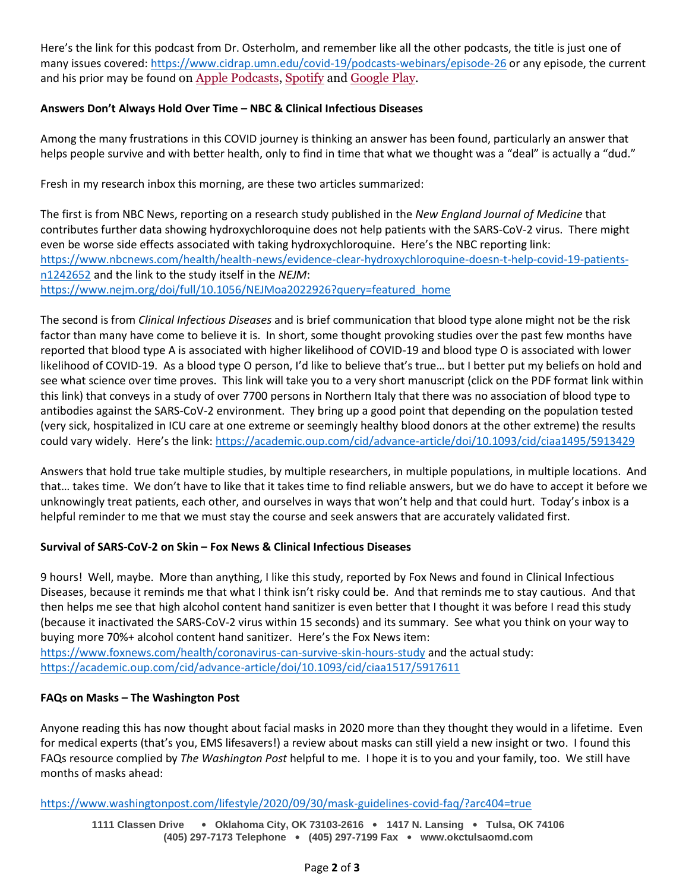Here's the link for this podcast from Dr. Osterholm, and remember like all the other podcasts, the title is just one of many issues covered:<https://www.cidrap.umn.edu/covid-19/podcasts-webinars/episode-26> or any episode, the current and his prior may be found on [Apple Podcasts,](https://podcasts.apple.com/us/podcast/the-osterholm-update-covid-19/id1504360345) [Spotify](https://open.spotify.com/show/0ymlroFYVlSAnoq0uqECGx) and [Google Play.](https://play.google.com/music/listen#/ps/I3fioaqqcke5hdct6rzyryvyysa)

# **Answers Don't Always Hold Over Time – NBC & Clinical Infectious Diseases**

Among the many frustrations in this COVID journey is thinking an answer has been found, particularly an answer that helps people survive and with better health, only to find in time that what we thought was a "deal" is actually a "dud."

Fresh in my research inbox this morning, are these two articles summarized:

The first is from NBC News, reporting on a research study published in the *New England Journal of Medicine* that contributes further data showing hydroxychloroquine does not help patients with the SARS-CoV-2 virus. There might even be worse side effects associated with taking hydroxychloroquine. Here's the NBC reporting link: [https://www.nbcnews.com/health/health-news/evidence-clear-hydroxychloroquine-doesn-t-help-covid-19-patients](https://www.nbcnews.com/health/health-news/evidence-clear-hydroxychloroquine-doesn-t-help-covid-19-patients-n1242652)[n1242652](https://www.nbcnews.com/health/health-news/evidence-clear-hydroxychloroquine-doesn-t-help-covid-19-patients-n1242652) and the link to the study itself in the *NEJM*: [https://www.nejm.org/doi/full/10.1056/NEJMoa2022926?query=featured\\_home](https://www.nejm.org/doi/full/10.1056/NEJMoa2022926?query=featured_home)

The second is from *Clinical Infectious Diseases* and is brief communication that blood type alone might not be the risk factor than many have come to believe it is. In short, some thought provoking studies over the past few months have reported that blood type A is associated with higher likelihood of COVID-19 and blood type O is associated with lower likelihood of COVID-19. As a blood type O person, I'd like to believe that's true… but I better put my beliefs on hold and see what science over time proves. This link will take you to a very short manuscript (click on the PDF format link within this link) that conveys in a study of over 7700 persons in Northern Italy that there was no association of blood type to antibodies against the SARS-CoV-2 environment. They bring up a good point that depending on the population tested (very sick, hospitalized in ICU care at one extreme or seemingly healthy blood donors at the other extreme) the results could vary widely. Here's the link:<https://academic.oup.com/cid/advance-article/doi/10.1093/cid/ciaa1495/5913429>

Answers that hold true take multiple studies, by multiple researchers, in multiple populations, in multiple locations. And that… takes time. We don't have to like that it takes time to find reliable answers, but we do have to accept it before we unknowingly treat patients, each other, and ourselves in ways that won't help and that could hurt. Today's inbox is a helpful reminder to me that we must stay the course and seek answers that are accurately validated first.

# **Survival of SARS-CoV-2 on Skin – Fox News & Clinical Infectious Diseases**

9 hours! Well, maybe. More than anything, I like this study, reported by Fox News and found in Clinical Infectious Diseases, because it reminds me that what I think isn't risky could be. And that reminds me to stay cautious. And that then helps me see that high alcohol content hand sanitizer is even better that I thought it was before I read this study (because it inactivated the SARS-CoV-2 virus within 15 seconds) and its summary. See what you think on your way to buying more 70%+ alcohol content hand sanitizer. Here's the Fox News item: <https://www.foxnews.com/health/coronavirus-can-survive-skin-hours-study> and the actual study:

<https://academic.oup.com/cid/advance-article/doi/10.1093/cid/ciaa1517/5917611>

# **FAQs on Masks – The Washington Post**

Anyone reading this has now thought about facial masks in 2020 more than they thought they would in a lifetime. Even for medical experts (that's you, EMS lifesavers!) a review about masks can still yield a new insight or two. I found this FAQs resource complied by *The Washington Post* helpful to me. I hope it is to you and your family, too. We still have months of masks ahead:

<https://www.washingtonpost.com/lifestyle/2020/09/30/mask-guidelines-covid-faq/?arc404=true>

**1111 Classen Drive** • **Oklahoma City, OK 73103-2616** • **1417 N. Lansing** • **Tulsa, OK 74106 (405) 297-7173 Telephone** • **(405) 297-7199 Fax** • **www.okctulsaomd.com**